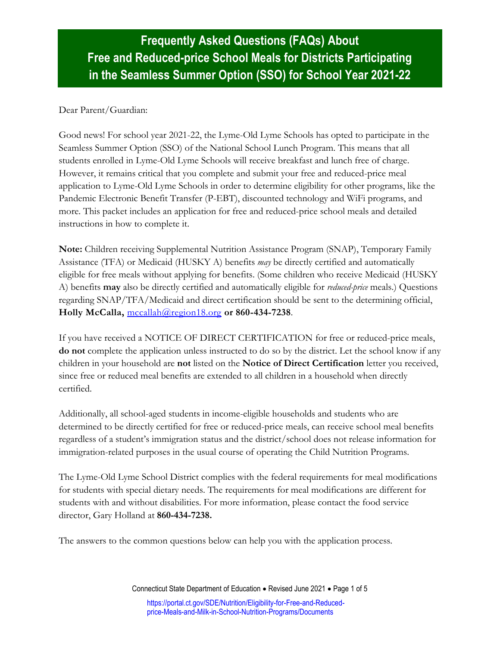# **Frequently Asked Questions (FAQs) About Free and Reduced-price School Meals for Districts Participating in the Seamless Summer Option (SSO) for School Year 2021-22**

#### Dear Parent/Guardian:

Good news! For school year 2021-22, the Lyme-Old Lyme Schools has opted to participate in the Seamless Summer Option (SSO) of the National School Lunch Program. This means that all students enrolled in Lyme-Old Lyme Schools will receive breakfast and lunch free of charge. However, it remains critical that you complete and submit your free and reduced-price meal application to Lyme-Old Lyme Schools in order to determine eligibility for other programs, like the Pandemic Electronic Benefit Transfer (P-EBT), discounted technology and WiFi programs, and more. This packet includes an application for free and reduced-price school meals and detailed instructions in how to complete it.

**Note:** Children receiving Supplemental Nutrition Assistance Program (SNAP), Temporary Family Assistance (TFA) or Medicaid (HUSKY A) benefits *may* be directly certified and automatically eligible for free meals without applying for benefits. (Some children who receive Medicaid (HUSKY A) benefits **may** also be directly certified and automatically eligible for *reduced-price* meals.) Questions regarding SNAP/TFA/Medicaid and direct certification should be sent to the determining official, **Holly McCalla,** [mccallah@region18.org](mailto:mccallah@region18.org) **or 860-434-7238**.

If you have received a NOTICE OF DIRECT CERTIFICATION for free or reduced-price meals, **do not** complete the application unless instructed to do so by the district. Let the school know if any children in your household are **not** listed on the **Notice of Direct Certification** letter you received, since free or reduced meal benefits are extended to all children in a household when directly certified.

Additionally, all school-aged students in income-eligible households and students who are determined to be directly certified for free or reduced-price meals, can receive school meal benefits regardless of a student's immigration status and the district/school does not release information for immigration-related purposes in the usual course of operating the Child Nutrition Programs.

The Lyme-Old Lyme School District complies with the federal requirements for meal modifications for students with special dietary needs. The requirements for meal modifications are different for students with and without disabilities. For more information, please contact the food service director, Gary Holland at **860-434-7238.**

The answers to the common questions below can help you with the application process.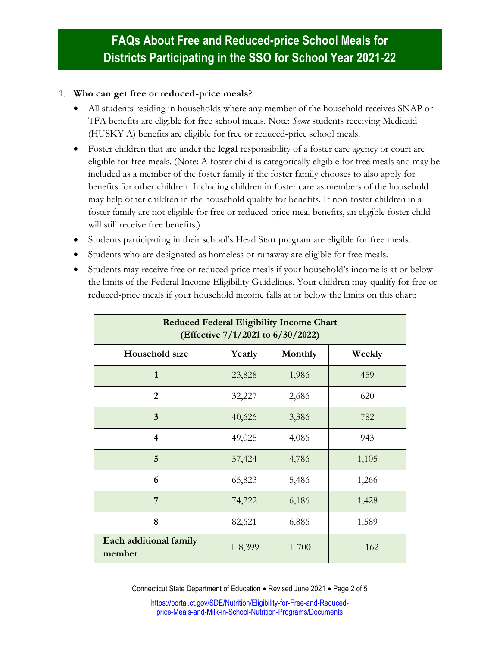#### 1. **Who can get free or reduced-price meals**?

- All students residing in households where any member of the household receives SNAP or TFA benefits are eligible for free school meals. Note: *Some* students receiving Medicaid (HUSKY A) benefits are eligible for free or reduced-price school meals.
- Foster children that are under the **legal** responsibility of a foster care agency or court are eligible for free meals. (Note: A foster child is categorically eligible for free meals and may be included as a member of the foster family if the foster family chooses to also apply for benefits for other children. Including children in foster care as members of the household may help other children in the household qualify for benefits. If non-foster children in a foster family are not eligible for free or reduced-price meal benefits, an eligible foster child will still receive free benefits.)
- Students participating in their school's Head Start program are eligible for free meals.
- Students who are designated as homeless or runaway are eligible for free meals.
- Students may receive free or reduced-price meals if your household's income is at or below the limits of the Federal Income Eligibility Guidelines. Your children may qualify for free or reduced-price meals if your household income falls at or below the limits on this chart:

| <b>Reduced Federal Eligibility Income Chart</b><br>(Effective 7/1/2021 to 6/30/2022) |          |         |        |
|--------------------------------------------------------------------------------------|----------|---------|--------|
| Household size                                                                       | Yearly   | Monthly | Weekly |
| $\mathbf{1}$                                                                         | 23,828   | 1,986   | 459    |
| $\overline{2}$                                                                       | 32,227   | 2,686   | 620    |
| $\overline{3}$                                                                       | 40,626   | 3,386   | 782    |
| 4                                                                                    | 49,025   | 4,086   | 943    |
| 5                                                                                    | 57,424   | 4,786   | 1,105  |
| 6                                                                                    | 65,823   | 5,486   | 1,266  |
| 7                                                                                    | 74,222   | 6,186   | 1,428  |
| 8                                                                                    | 82,621   | 6,886   | 1,589  |
| Each additional family<br>member                                                     | $+8,399$ | $+700$  | $+162$ |

Connecticut State Department of Education • Revised June 2021 • Page 2 of 5

[https://portal.ct.gov/SDE/Nutrition/Eligibility-for-Free-and-Reduced](https://portal.ct.gov/SDE/Nutrition/Eligibility-for-Free-and-Reduced-price-Meals-and-Milk-in-School-Nutrition-Programs/Documents)[price-Meals-and-Milk-in-School-Nutrition-Programs/Documents](https://portal.ct.gov/SDE/Nutrition/Eligibility-for-Free-and-Reduced-price-Meals-and-Milk-in-School-Nutrition-Programs/Documents)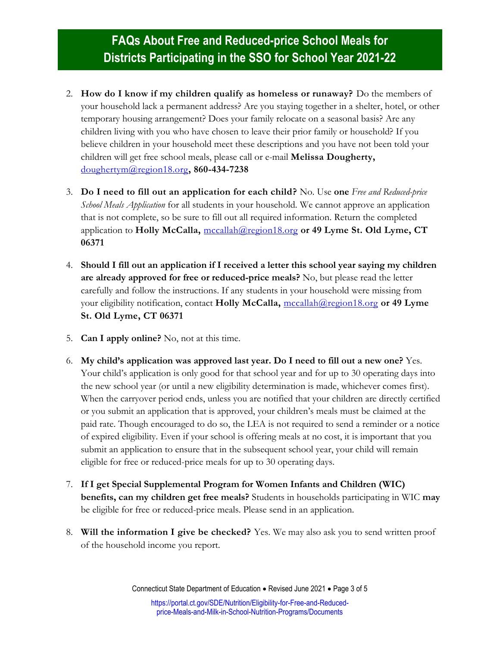- 2. **How do I know if my children qualify as homeless or runaway?** Do the members of your household lack a permanent address? Are you staying together in a shelter, hotel, or other temporary housing arrangement? Does your family relocate on a seasonal basis? Are any children living with you who have chosen to leave their prior family or household? If you believe children in your household meet these descriptions and you have not been told your children will get free school meals, please call or e-mail **Melissa Dougherty,**  [doughertym@region18.org](mailto:doughertym@region18.org)**, 860-434-7238**
- 3. **Do I need to fill out an application for each child?** No. Use **one** *Free and Reduced-price School Meals Application* for all students in your household*.* We cannot approve an application that is not complete, so be sure to fill out all required information. Return the completed application to **Holly McCalla,** [mccallah@region18.org](mailto:mccallah@region18.org) **or 49 Lyme St. Old Lyme, CT 06371**
- 4. **Should I fill out an application if I received a letter this school year saying my children are already approved for free or reduced-price meals?** No, but please read the letter carefully and follow the instructions. If any students in your household were missing from your eligibility notification, contact **Holly McCalla,** [mccallah@region18.org](mailto:mccallah@region18.org) **or 49 Lyme St. Old Lyme, CT 06371**
- 5. **Can I apply online?** No, not at this time.
- 6. **My child's application was approved last year. Do I need to fill out a new one?** Yes. Your child's application is only good for that school year and for up to 30 operating days into the new school year (or until a new eligibility determination is made, whichever comes first). When the carryover period ends, unless you are notified that your children are directly certified or you submit an application that is approved, your children's meals must be claimed at the paid rate. Though encouraged to do so, the LEA is not required to send a reminder or a notice of expired eligibility. Even if your school is offering meals at no cost, it is important that you submit an application to ensure that in the subsequent school year, your child will remain eligible for free or reduced-price meals for up to 30 operating days.
- 7. **If I get Special Supplemental Program for Women Infants and Children (WIC) benefits, can my children get free meals?** Students in households participating in WIC **may** be eligible for free or reduced-price meals. Please send in an application.
- 8. **Will the information I give be checked?** Yes. We may also ask you to send written proof of the household income you report.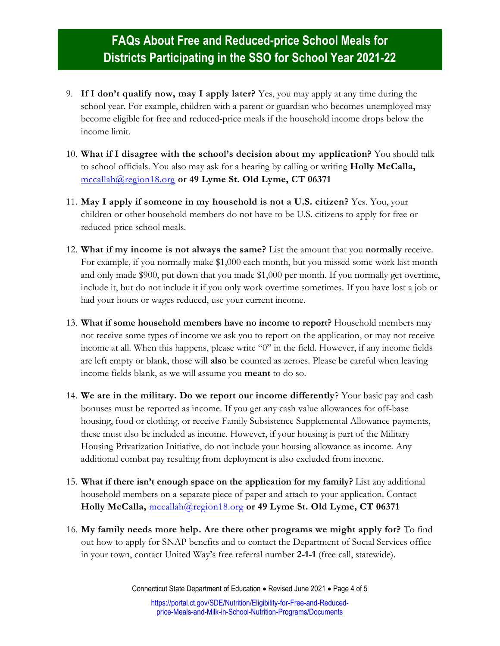- 9. **If I don't qualify now, may I apply later?** Yes, you may apply at any time during the school year. For example, children with a parent or guardian who becomes unemployed may become eligible for free and reduced-price meals if the household income drops below the income limit.
- 10. **What if I disagree with the school's decision about my application?** You should talk to school officials. You also may ask for a hearing by calling or writing **Holly McCalla,**  [mccallah@region18.org](mailto:mccallah@region18.org) **or 49 Lyme St. Old Lyme, CT 06371**
- 11. **May I apply if someone in my household is not a U.S. citizen?** Yes. You, your children or other household members do not have to be U.S. citizens to apply for free or reduced-price school meals.
- 12. **What if my income is not always the same?** List the amount that you **normally** receive. For example, if you normally make \$1,000 each month, but you missed some work last month and only made \$900, put down that you made \$1,000 per month. If you normally get overtime, include it, but do not include it if you only work overtime sometimes. If you have lost a job or had your hours or wages reduced, use your current income.
- 13. **What if some household members have no income to report?** Household members may not receive some types of income we ask you to report on the application, or may not receive income at all. When this happens, please write "0" in the field. However, if any income fields are left empty or blank, those will **also** be counted as zeroes. Please be careful when leaving income fields blank, as we will assume you **meant** to do so.
- 14. **We are in the military. Do we report our income differently**? Your basic pay and cash bonuses must be reported as income. If you get any cash value allowances for off-base housing, food or clothing, or receive Family Subsistence Supplemental Allowance payments, these must also be included as income. However, if your housing is part of the Military Housing Privatization Initiative, do not include your housing allowance as income. Any additional combat pay resulting from deployment is also excluded from income.
- 15. **What if there isn't enough space on the application for my family?** List any additional household members on a separate piece of paper and attach to your application. Contact **Holly McCalla,** [mccallah@region18.org](mailto:mccallah@region18.org) **or 49 Lyme St. Old Lyme, CT 06371**
- 16. **My family needs more help. Are there other programs we might apply for?** To find out how to apply for SNAP benefits and to contact the Department of Social Services office in your town, contact United Way's free referral number **2-1-1** (free call, statewide).